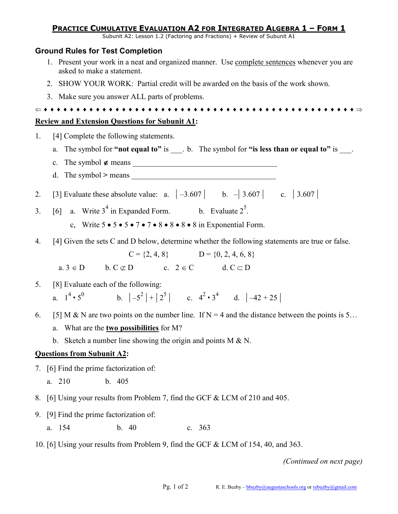# **PRACTICE CUMULATIVE EVALUATION A2 FOR INTEGRATED ALGEBRA 1 – FORM 1**

Subunit A2: Lesson 1.2 (Factoring and Fractions) + Review of Subunit A1

### **Ground Rules for Test Completion**

- 1. Present your work in a neat and organized manner. Use complete sentences whenever you are asked to make a statement.
- 2. SHOW YOUR WORK: Partial credit will be awarded on the basis of the work shown.
- 3. Make sure you answer ALL parts of problems.

⇐ ♦ ♦ ♦ ♦ ♦ ♦ ♦ ♦ ♦ ♦ ♦ ♦ ♦ ♦ ♦ ♦ ♦ ♦ ♦ ♦ ♦ ♦ ♦ ♦ ♦ ♦ ♦ ♦ ♦ ♦ ♦ ♦ ♦ ♦ ♦ ♦ ♦ ♦ ♦ ♦ ♦ ♦ ♦ ♦ ♦ ♦ ♦ ♦ ⇒

## **Review and Extension Questions for Subunit A1:**

- 1. [4] Complete the following statements. a. The symbol for **"not equal to"** is \_\_\_. b. The symbol for **"is less than or equal to"** is \_\_\_. c. The symbol ∉ means \_\_\_\_\_\_\_\_\_\_\_\_\_\_\_\_\_\_\_\_\_\_\_\_\_\_\_\_\_\_\_\_\_\_\_\_\_ d. The symbol  $>$  means 2. [3] Evaluate these absolute value: a.  $|-3.607|$  b.  $-|3.607|$  c.  $|3.607|$ 3. [6] a. Write  $3^4$  in Expanded Form. b. Evaluate  $2^5$ . c, Write  $5 \cdot 5 \cdot 5 \cdot 7 \cdot 7 \cdot 8 \cdot 8 \cdot 8 \cdot 8$  in Exponential Form. 4. [4] Given the sets C and D below, determine whether the following statements are true or false.  $C = \{2, 4, 8\}$   $D = \{0, 2, 4, 6, 8\}$  $a. 3 \in D$  b.  $C \subset D$  c.  $2 \in C$  d.  $C \subset D$ 5. [8] Evaluate each of the following: a.  $1^4 \cdot 5^0$ b.  $|-5^2|+|2^5|$  c.  $4^2 \cdot 3^4$  d.  $|-42+25|$ 6. [5] M & N are two points on the number line. If N = 4 and the distance between the points is 5... a. What are the **two possibilities** for M? b. Sketch a number line showing the origin and points  $M \& N$ . **Questions from Subunit A2:**  7. [6] Find the prime factorization of: a. 210 b. 405 8. [6] Using your results from Problem 7, find the GCF & LCM of 210 and 405.
- 9. [9] Find the prime factorization of:
	- a. 154 b. 40 c. 363
- 10. [6] Using your results from Problem 9, find the GCF & LCM of 154, 40, and 363.

*(Continued on next page)*